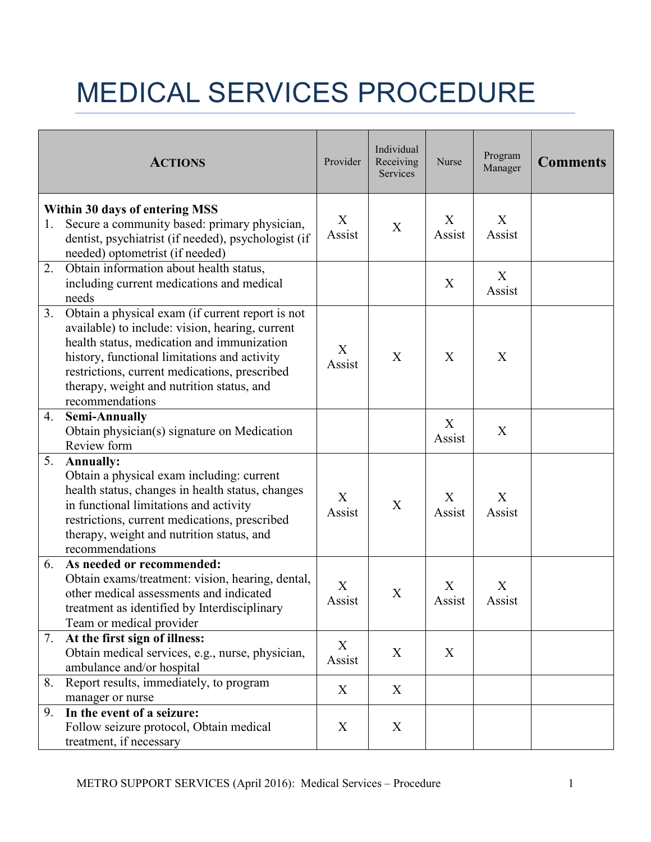## MEDICAL SERVICES PROCEDURE

|    | <b>ACTIONS</b>                                                                                                                                                                                                                                                                                                     | Provider                            | Individual<br>Receiving<br>Services | Nurse       | Program<br>Manager | <b>Comments</b> |
|----|--------------------------------------------------------------------------------------------------------------------------------------------------------------------------------------------------------------------------------------------------------------------------------------------------------------------|-------------------------------------|-------------------------------------|-------------|--------------------|-----------------|
| 1. | Within 30 days of entering MSS<br>Secure a community based: primary physician,<br>dentist, psychiatrist (if needed), psychologist (if<br>needed) optometrist (if needed)                                                                                                                                           | X<br>Assist                         | X                                   | X<br>Assist | X<br>Assist        |                 |
| 2. | Obtain information about health status,<br>including current medications and medical<br>needs                                                                                                                                                                                                                      |                                     |                                     | X           | X<br>Assist        |                 |
| 3. | Obtain a physical exam (if current report is not<br>available) to include: vision, hearing, current<br>health status, medication and immunization<br>history, functional limitations and activity<br>restrictions, current medications, prescribed<br>therapy, weight and nutrition status, and<br>recommendations | X<br>Assist                         | X                                   | X           | X                  |                 |
| 4. | <b>Semi-Annually</b><br>Obtain physician(s) signature on Medication<br>Review form                                                                                                                                                                                                                                 |                                     |                                     | X<br>Assist | X                  |                 |
| 5. | <b>Annually:</b><br>Obtain a physical exam including: current<br>health status, changes in health status, changes<br>in functional limitations and activity<br>restrictions, current medications, prescribed<br>therapy, weight and nutrition status, and<br>recommendations                                       | $\boldsymbol{\mathrm{X}}$<br>Assist | X                                   | X<br>Assist | X<br>Assist        |                 |
| 6. | As needed or recommended:<br>Obtain exams/treatment: vision, hearing, dental,<br>other medical assessments and indicated<br>treatment as identified by Interdisciplinary<br>Team or medical provider                                                                                                               | $\mathbf X$<br>Assist               | X                                   | X<br>Assist | X<br>Assist        |                 |
| 7. | At the first sign of illness:<br>Obtain medical services, e.g., nurse, physician,<br>ambulance and/or hospital                                                                                                                                                                                                     | X<br>Assist                         | X                                   | X           |                    |                 |
| 8. | Report results, immediately, to program<br>manager or nurse                                                                                                                                                                                                                                                        | X                                   | X                                   |             |                    |                 |
| 9. | In the event of a seizure:<br>Follow seizure protocol, Obtain medical<br>treatment, if necessary                                                                                                                                                                                                                   | X                                   | X                                   |             |                    |                 |